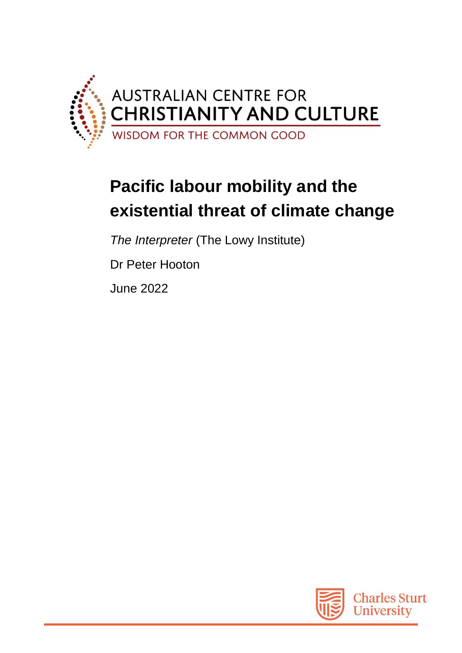

## **Pacific labour mobility and the existential threat of climate change**

*The Interpreter* (The Lowy Institute)

Dr Peter Hooton

June 2022

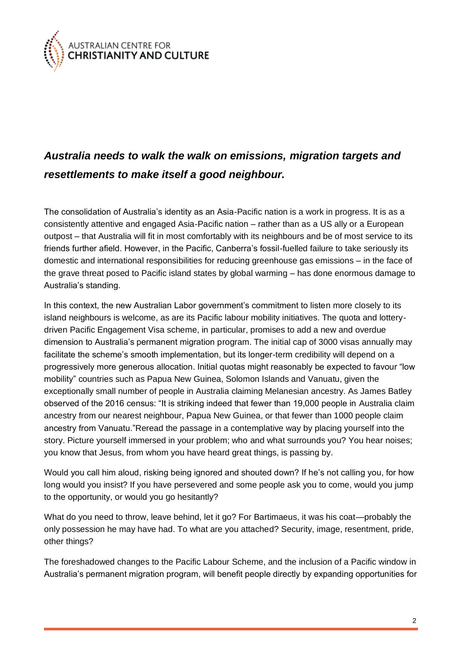

## *Australia needs to walk the walk on emissions, migration targets and resettlements to make itself a good neighbour.*

The consolidation of Australia's identity as an Asia-Pacific nation is a work in progress. It is as a consistently attentive and engaged Asia-Pacific nation – rather than as a US ally or a European outpost – that Australia will fit in most comfortably with its neighbours and be of most service to its friends further afield. However, in the Pacific, Canberra's fossil-fuelled failure to take seriously its domestic and international responsibilities for reducing greenhouse gas emissions – in the face of the grave threat posed to Pacific island states by global warming – has done enormous damage to Australia's standing.

In this context, the new Australian Labor government's commitment to listen more closely to its island neighbours is welcome, as are its Pacific labour mobility initiatives. The quota and lotterydriven Pacific Engagement Visa scheme, in particular, promises to add a new and overdue dimension to Australia's permanent migration program. The initial cap of 3000 visas annually may facilitate the scheme's smooth implementation, but its longer-term credibility will depend on a progressively more generous allocation. Initial quotas might reasonably be expected to favour "low mobility" countries such as Papua New Guinea, Solomon Islands and Vanuatu, given the exceptionally small number of people in Australia claiming Melanesian ancestry. As James Batley observed of the 2016 census: "It is striking indeed that fewer than 19,000 people in Australia claim ancestry from our nearest neighbour, Papua New Guinea, or that fewer than 1000 people claim ancestry from Vanuatu."Reread the passage in a contemplative way by placing yourself into the story. Picture yourself immersed in your problem; who and what surrounds you? You hear noises; you know that Jesus, from whom you have heard great things, is passing by.

Would you call him aloud, risking being ignored and shouted down? If he's not calling you, for how long would you insist? If you have persevered and some people ask you to come, would you jump to the opportunity, or would you go hesitantly?

What do you need to throw, leave behind, let it go? For Bartimaeus, it was his coat—probably the only possession he may have had. To what are you attached? Security, image, resentment, pride, other things?

The foreshadowed changes to the Pacific Labour Scheme, and the inclusion of a Pacific window in Australia's permanent migration program, will benefit people directly by expanding opportunities for